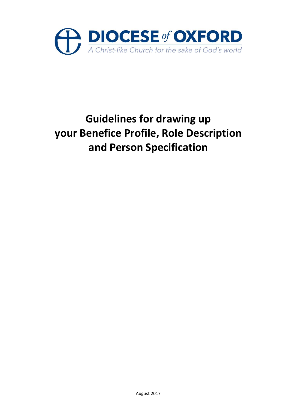

# **Guidelines for drawing up your Benefice Profile, Role Description and Person Specification**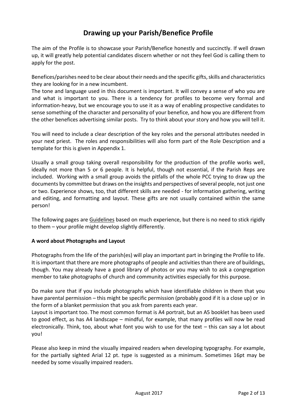# **Drawing up your Parish/Benefice Profile**

The aim of the Profile is to showcase your Parish/Benefice honestly and succinctly. If well drawn up, it will greatly help potential candidates discern whether or not they feel God is calling them to apply for the post.

Benefices/parishes need to be clear about their needs and the specific gifts, skills and characteristics they are looking for in a new incumbent.

The tone and language used in this document is important. It will convey a sense of who you are and what is important to you. There is a tendency for profiles to become very formal and information-heavy, but we encourage you to use it as a way of enabling prospective candidates to sense something of the character and personality of your benefice, and how you are different from the other benefices advertising similar posts. Try to think about your story and how you will tell it.

You will need to include a clear description of the key roles and the personal attributes needed in your next priest. The roles and responsibilities will also form part of the Role Description and a template for this is given in Appendix 1.

Usually a small group taking overall responsibility for the production of the profile works well, ideally not more than 5 or 6 people. It is helpful, though not essential, if the Parish Reps are included. Working with a small group avoids the pitfalls of the whole PCC trying to draw up the documents by committee but draws on the insights and perspectives of several people, not just one or two. Experience shows, too, that different skills are needed - for information gathering, writing and editing, and formatting and layout. These gifts are not usually contained within the same person!

The following pages are Guidelines based on much experience, but there is no need to stick rigidly to them – your profile might develop slightly differently.

#### **A word about Photographs and Layout**

Photographs from the life of the parish(es) will play an important part in bringing the Profile to life. It is important that there are more photographs of people and activities than there are of buildings, though. You may already have a good library of photos or you may wish to ask a congregation member to take photographs of church and community activities especially for this purpose.

Do make sure that if you include photographs which have identifiable children in them that you have parental permission – this might be specific permission (probably good if it is a close up) or in the form of a blanket permission that you ask from parents each year.

Layout is important too. The most common format is A4 portrait, but an A5 booklet has been used to good effect, as has A4 landscape – mindful, for example, that many profiles will now be read electronically. Think, too, about what font you wish to use for the text – this can say a lot about you!

Please also keep in mind the visually impaired readers when developing typography. For example, for the partially sighted Arial 12 pt. type is suggested as a minimum. Sometimes 16pt may be needed by some visually impaired readers.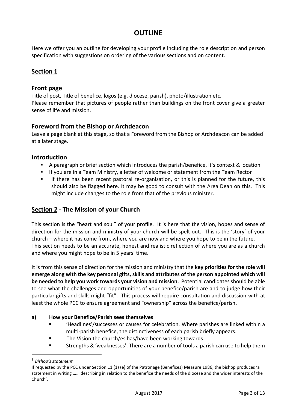## **OUTLINE**

Here we offer you an outline for developing your profile including the role description and person specification with suggestions on ordering of the various sections and on content.

## **Section 1**

### **Front page**

Title of post, Title of benefice, logos (e.g. diocese, parish), photo/illustration etc. Please remember that pictures of people rather than buildings on the front cover give a greater sense of life and mission.

## **Foreword from the Bishop or Archdeacon**

Leave a page blank at this stage, so that a Foreword from the Bishop or Archdeacon can be added<sup>1</sup> at a later stage.

## **Introduction**

- A paragraph or brief section which introduces the parish/benefice, it's context & location
- If you are in a Team Ministry, a letter of welcome or statement from the Team Rector
- If there has been recent pastoral re-organisation, or this is planned for the future, this should also be flagged here. It may be good to consult with the Area Dean on this. This might include changes to the role from that of the previous minister.

## **Section 2 - The Mission of your Church**

This section is the "heart and soul" of your profile. It is here that the vision, hopes and sense of direction for the mission and ministry of your church will be spelt out. This is the 'story' of your church – where it has come from, where you are now and where you hope to be in the future. This section needs to be an accurate, honest and realistic reflection of where you are as a church and where you might hope to be in 5 years' time.

It is from this sense of direction for the mission and ministry that the **key priorities for the role will emerge along with the key personal gifts, skills and attributes of the person appointed which will be needed to help you work towards your vision and mission**. Potential candidates should be able to see what the challenges and opportunities of your benefice/parish are and to judge how their particular gifts and skills might "fit". This process will require consultation and discussion with at least the whole PCC to ensure agreement and "ownership" across the benefice/parish.

#### **a) How your Benefice/Parish sees themselves**

- 'Headlines'/successes or causes for celebration. Where parishes are linked within a multi-parish benefice, the distinctiveness of each parish briefly appears.
- The Vision the church/es has/have been working towards
- Strengths & 'weaknesses'. There are a number of tools a parish can use to help them

<sup>1</sup> *Bishop's statement* 

If requested by the PCC under Section 11 (1) (e) of the Patronage (Benefices) Measure 1986, the bishop produces 'a statement in writing …… describing in relation to the benefice the needs of the diocese and the wider interests of the Church'.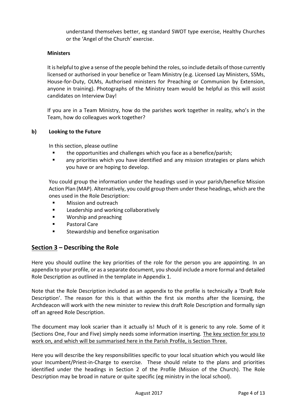understand themselves better, eg standard SWOT type exercise, Healthy Churches or the 'Angel of the Church' exercise.

#### **Ministers**

It is helpful to give a sense of the people behind the roles, so include details of those currently licensed or authorised in your benefice or Team Ministry (e.g. Licensed Lay Ministers, SSMs, House-for-Duty, OLMs, Authorised ministers for Preaching or Communion by Extension, anyone in training). Photographs of the Ministry team would be helpful as this will assist candidates on Interview Day!

If you are in a Team Ministry, how do the parishes work together in reality, who's in the Team, how do colleagues work together?

#### **b) Looking to the Future**

In this section, please outline

- the opportunities and challenges which you face as a benefice/parish;
- any priorities which you have identified and any mission strategies or plans which you have or are hoping to develop.

You could group the information under the headings used in your parish/benefice Mission Action Plan (MAP). Alternatively, you could group them under these headings, which are the ones used in the Role Description:

- **Mission and outreach**
- Leadership and working collaboratively
- Worship and preaching
- Pastoral Care
- Stewardship and benefice organisation

## **Section 3 – Describing the Role**

Here you should outline the key priorities of the role for the person you are appointing. In an appendix to your profile, or as a separate document, you should include a more formal and detailed Role Description as outlined in the template in Appendix 1.

Note that the Role Description included as an appendix to the profile is technically a 'Draft Role Description'. The reason for this is that within the first six months after the licensing, the Archdeacon will work with the new minister to review this draft Role Description and formally sign off an agreed Role Description.

The document may look scarier than it actually is! Much of it is generic to any role. Some of it (Sections One, Four and Five) simply needs some information inserting. The key section for you to work on, and which will be summarised here in the Parish Profile, is Section Three.

Here you will describe the key responsibilities specific to your local situation which you would like your Incumbent/Priest-in-Charge to exercise. These should relate to the plans and priorities identified under the headings in Section 2 of the Profile (Mission of the Church). The Role Description may be broad in nature or quite specific (eg ministry in the local school).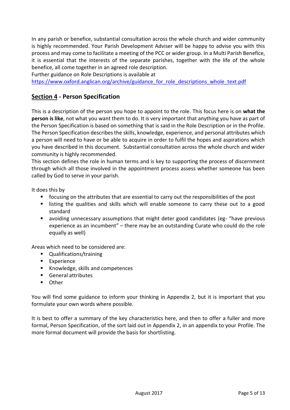In any parish or benefice, substantial consultation across the whole church and wider community is highly recommended. Your Parish Development Adviser will be happy to advise you with this process and may come to facilitate a meeting of the PCC or wider group. In a Multi Parish Benefice, it is essential that the interests of the separate parishes, together with the life of the whole benefice, all come together in an agreed role description.

Further guidance on Role Descriptions is available at

[https://www.oxford.anglican.org/archive/guidance\\_for\\_role\\_descriptions\\_whole\\_text.pdf](https://www.oxford.anglican.org/archive/guidance_for_role_descriptions_whole_text.pdf)

## **Section 4 - Person Specification**

This is a description of the person you hope to appoint to the role. This focus here is on **what the person is like**, not what you want them to do. It is very important that anything you have as part of the Person Specification is based on something that is said in the Role Description or in the Profile. The Person Specification describes the skills, knowledge, experience, and personal attributes which a person will need to have or be able to acquire in order to fulfil the hopes and aspirations which you have described in this document. Substantial consultation across the whole church and wider community is highly recommended.

This section defines the role in human terms and is key to supporting the process of discernment through which all those involved in the appointment process assess whether someone has been called by God to serve in your parish.

It does this by

- focusing on the attributes that are essential to carry out the responsibilities of the post
- listing the qualities and skills which will enable someone to carry these out to a good standard
- avoiding unnecessary assumptions that might deter good candidates (eg- "have previous experience as an incumbent" – there may be an outstanding Curate who could do the role equally as well)

Areas which need to be considered are:

- Qualifications/training
- Experience
- Knowledge, skills and competences
- General attributes
- Other

You will find some guidance to inform your thinking in Appendix 2, but it is important that you formulate your own words where possible.

It is best to offer a summary of the key characteristics here, and then to offer a fuller and more formal, Person Specification, of the sort laid out in Appendix 2, in an appendix to your Profile. The more formal document will provide the basis for shortlisting.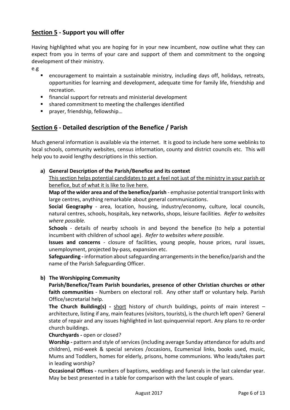## **Section 5 - Support you will offer**

Having highlighted what you are hoping for in your new incumbent, now outline what they can expect from you in terms of your care and support of them and commitment to the ongoing development of their ministry.

e.g

- encouragement to maintain a sustainable ministry, including days off, holidays, retreats, opportunities for learning and development, adequate time for family life, friendship and recreation.
- financial support for retreats and ministerial development
- shared commitment to meeting the challenges identified
- prayer, friendship, fellowship...

## **Section 6 - Detailed description of the Benefice / Parish**

Much general information is available via the internet. It is good to include here some weblinks to local schools, community websites, census information, county and district councils etc. This will help you to avoid lengthy descriptions in this section.

#### **a) General Description of the Parish/Benefice and its context**

This section helps potential candidates to get a feel not just of the ministry in your parish or benefice, but of what it is like to live here.

**Map of the wider area and of the benefice/parish** - emphasise potential transport links with large centres, anything remarkable about general communications.

**Social Geography** *-* area, location, housing, industry/economy, culture, local councils, natural centres, schools, hospitals, key networks, shops, leisure facilities. *Refer to websites where possible.*

**Schools** - details of nearby schools in and beyond the benefice (to help a potential incumbent with children of school age). *Refer to websites where possible.*

**Issues and concerns** - closure of facilities, young people, house prices, rural issues, unemployment, projected by-pass, expansion etc.

**Safeguarding -** information about safeguarding arrangements in the benefice/parish and the name of the Parish Safeguarding Officer.

#### **b) The Worshipping Community**

**Parish/Benefice/Team Parish boundaries, presence of other Christian churches or other faith communities** *-* Numbers on electoral roll. Any other staff or voluntary help. Parish Office/secretarial help.

**The Church Building(s) -** short history of church buildings, points of main interest – architecture, listing if any, main features (visitors, tourists), is the church left open? General state of repair and any issues highlighted in last quinquennial report. Any plans to re-order church buildings.

#### **Churchyards -** open or closed?

**Worship -** pattern and style of services (including average Sunday attendance for adults and children), mid-week & special services /occasions, Ecumenical links, books used, music, Mums and Toddlers, homes for elderly, prisons, home communions. Who leads/takes part in leading worship?

**Occasional Offices -** numbers of baptisms, weddings and funerals in the last calendar year. May be best presented in a table for comparison with the last couple of years.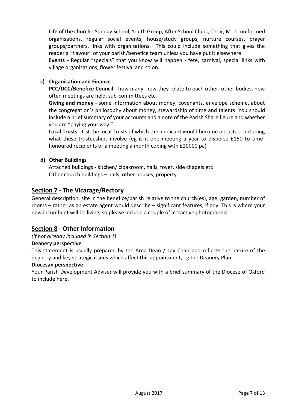**Life of the church -** Sunday School, Youth Group, After School Clubs, Choir, M.U., uniformed organisations, regular social events, house/study groups, nurture courses, prayer groups/partners, links with organisations. This could include something that gives the reader a "flavour" of your parish/benefice team unless you have put it elsewhere.

**Events -** Regular "specials" that you know will happen - fete, carnival, special links with village organisations, flower festival and so on.

#### **c) Organisation and Finance**

**PCC/DCC/Benefice Council** - how many, how they relate to each other, other bodies, how often meetings are held, sub-committees etc.

**Giving and money** - some information about money, covenants, envelope scheme, about the congregation's philosophy about money, stewardship of time and talents. You should include a brief summary of your accounts and a note of the Parish Share figure and whether you are "paying your way."

**Local Trusts** - List the local Trusts of which the applicant would become a trustee, including what these trusteeships involve (eg is it one meeting a year to disperse £150 to timehonoured recipients or a meeting a month coping with £20000 pa)

#### **d) Other Buildings**

Attached buildings - kitchen/ cloakroom, halls, foyer, side chapels etc Other church buildings – halls, other houses, property

## **Section 7 - The Vicarage/Rectory**

General description, site in the benefice/parish relative to the church(es), age, garden, number of rooms – rather as an estate agent would describe – significant features, if any. This is where your new incumbent will be living, so please include a couple of attractive photographs!

#### **Section 8 - Other Information**

*(if not already included in Section 1)*

#### **Deanery perspective**

This statement is usually prepared by the Area Dean / Lay Chair and reflects the nature of the deanery and key strategic issues which affect this appointment, eg the Deanery Plan.

#### **Diocesan perspective**

Your Parish Development Adviser will provide you with a brief summary of the Diocese of Oxford to include here.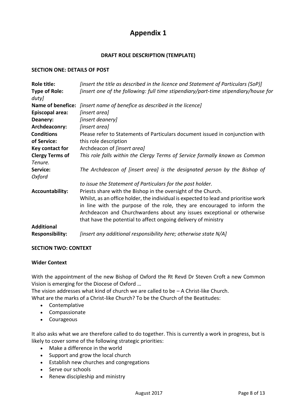# **Appendix 1**

#### **DRAFT ROLE DESCRIPTION (TEMPLATE)**

#### **SECTION ONE: DETAILS OF POST**

| Role title:                   | [insert the title as described in the licence and Statement of Particulars (SoP)]                                                                                                                                                                                                                                                                                           |  |
|-------------------------------|-----------------------------------------------------------------------------------------------------------------------------------------------------------------------------------------------------------------------------------------------------------------------------------------------------------------------------------------------------------------------------|--|
| <b>Type of Role:</b><br>duty] | [insert one of the following: full time stipendiary/part-time stipendiary/house for                                                                                                                                                                                                                                                                                         |  |
| <b>Name of benefice:</b>      | [insert name of benefice as described in the licence]                                                                                                                                                                                                                                                                                                                       |  |
| <b>Episcopal area:</b>        | [insert area]                                                                                                                                                                                                                                                                                                                                                               |  |
| Deanery:                      | [insert deanery]                                                                                                                                                                                                                                                                                                                                                            |  |
| Archdeaconry:                 | [insert area]                                                                                                                                                                                                                                                                                                                                                               |  |
| <b>Conditions</b>             | Please refer to Statements of Particulars document issued in conjunction with                                                                                                                                                                                                                                                                                               |  |
| of Service:                   | this role description                                                                                                                                                                                                                                                                                                                                                       |  |
| Key contact for               | Archdeacon of <i>[insert area]</i>                                                                                                                                                                                                                                                                                                                                          |  |
| <b>Clergy Terms of</b>        | This role falls within the Clergy Terms of Service formally known as Common                                                                                                                                                                                                                                                                                                 |  |
| Tenure.                       |                                                                                                                                                                                                                                                                                                                                                                             |  |
| Service:<br>Oxford            | The Archdeacon of [insert area] is the designated person by the Bishop of                                                                                                                                                                                                                                                                                                   |  |
|                               | to issue the Statement of Particulars for the post holder.                                                                                                                                                                                                                                                                                                                  |  |
| <b>Accountability:</b>        | Priests share with the Bishop in the oversight of the Church.<br>Whilst, as an office holder, the individual is expected to lead and prioritise work<br>in line with the purpose of the role, they are encouraged to inform the<br>Archdeacon and Churchwardens about any issues exceptional or otherwise<br>that have the potential to affect ongoing delivery of ministry |  |
| <b>Additional</b>             |                                                                                                                                                                                                                                                                                                                                                                             |  |
| <b>Responsibility:</b>        | [insert any additional responsibility here; otherwise state N/A]                                                                                                                                                                                                                                                                                                            |  |

#### **SECTION TWO: CONTEXT**

#### **Wider Context**

With the appointment of the new Bishop of Oxford the Rt Revd Dr Steven Croft a new Common Vision is emerging for the Diocese of Oxford …

The vision addresses what kind of church we are called to be – A Christ-like Church.

What are the marks of a Christ-like Church? To be the Church of the Beatitudes:

- Contemplative
- Compassionate
- Courageous

It also asks what we are therefore called to do together. This is currently a work in progress, but is likely to cover some of the following strategic priorities:

- Make a difference in the world
- Support and grow the local church
- Establish new churches and congregations
- Serve our schools
- Renew discipleship and ministry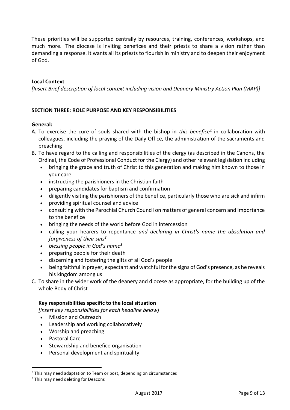These priorities will be supported centrally by resources, training, conferences, workshops, and much more. The diocese is inviting benefices and their priests to share a vision rather than demanding a response. It wants all its priests to flourish in ministry and to deepen their enjoyment of God.

#### **Local Context**

*[Insert Brief description of local context including vision and Deanery Ministry Action Plan (MAP)]*

#### **SECTION THREE: ROLE PURPOSE AND KEY RESPONSIBILITIES**

#### **General:**

- A. To exercise the cure of souls shared with the bishop in *this benefice*<sup>2</sup> in collaboration with colleagues, including the praying of the Daily Office, the administration of the sacraments and preaching
- B. To have regard to the calling and responsibilities of the clergy (as described in the Canons, the Ordinal, the Code of Professional Conduct for the Clergy) and other relevant legislation including
	- bringing the grace and truth of Christ to this generation and making him known to those in your care
	- instructing the parishioners in the Christian faith
	- preparing candidates for baptism and confirmation
	- diligently visiting the parishioners of the benefice, particularly those who are sick and infirm
	- providing spiritual counsel and advice
	- consulting with the Parochial Church Council on matters of general concern and importance to the benefice
	- bringing the needs of the world before God in intercession
	- calling your hearers to repentance *and declaring in Christ's name the absolution and forgiveness of their sins<sup>3</sup>*
	- *blessing people in God's name<sup>3</sup>*
	- preparing people for their death
	- discerning and fostering the gifts of all God's people
	- being faithful in prayer, expectant and watchful for the signs of God's presence, as he reveals his kingdom among us
- C. To share in the wider work of the deanery and diocese as appropriate, for the building up of the whole Body of Christ

#### **Key responsibilities specific to the local situation**

*[insert key responsibilities for each headline below]*

- Mission and Outreach
- Leadership and working collaboratively
- Worship and preaching
- Pastoral Care
- Stewardship and benefice organisation
- Personal development and spirituality

 $2$  This may need adaptation to Team or post, depending on circumstances

 $3$  This may need deleting for Deacons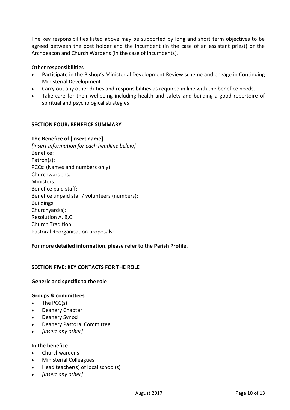The key responsibilities listed above may be supported by long and short term objectives to be agreed between the post holder and the incumbent (in the case of an assistant priest) or the Archdeacon and Church Wardens (in the case of incumbents).

#### **Other responsibilities**

- Participate in the Bishop's Ministerial Development Review scheme and engage in Continuing Ministerial Development
- Carry out any other duties and responsibilities as required in line with the benefice needs.
- Take care for their wellbeing including health and safety and building a good repertoire of spiritual and psychological strategies

#### **SECTION FOUR: BENEFICE SUMMARY**

#### **The Benefice of [insert name]**

*[insert information for each headline below]* Benefice: Patron(s): PCCs: (Names and numbers only) Churchwardens: Ministers: Benefice paid staff: Benefice unpaid staff/ volunteers (numbers): Buildings: Churchyard(s): Resolution A, B,C: Church Tradition: Pastoral Reorganisation proposals:

#### **For more detailed information, please refer to the Parish Profile.**

#### **SECTION FIVE: KEY CONTACTS FOR THE ROLE**

#### **Generic and specific to the role**

#### **Groups & committees**

- The PCC(s)
- Deanery Chapter
- Deanery Synod
- Deanery Pastoral Committee
- *[insert any other]*

#### **In the benefice**

- Churchwardens
- Ministerial Colleagues
- Head teacher(s) of local school(s)
- *[insert any other]*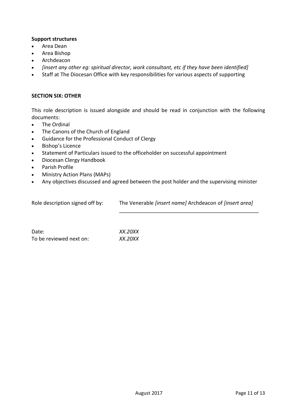#### **Support structures**

- Area Dean
- Area Bishop
- Archdeacon
- *[insert any other eg: spiritual director, work consultant, etc if they have been identified]*
- Staff at The Diocesan Office with key responsibilities for various aspects of supporting

#### **SECTION SIX: OTHER**

This role description is issued alongside and should be read in conjunction with the following documents:

- The Ordinal
- The Canons of the Church of England
- Guidance for the Professional Conduct of Clergy
- Bishop's Licence
- Statement of Particulars issued to the officeholder on successful appointment
- Diocesan Clergy Handbook
- Parish Profile
- Ministry Action Plans (MAPs)
- Any objectives discussed and agreed between the post holder and the supervising minister

| Role description signed off by: | The Venerable [insert name] Archdeacon of [insert area] |
|---------------------------------|---------------------------------------------------------|
|                                 |                                                         |

Date: *XX.20XX* To be reviewed next on: *XX.20XX*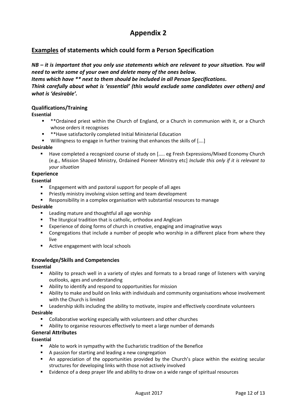# **Appendix 2**

## **Examples of statements which could form a Person Specification**

*NB – it is important that you only use statements which are relevant to your situation. You will need to write some of your own and delete many of the ones below.* 

*Items which have \*\* next to them should be included in all Person Specifications.*

*Think carefully about what is 'essential' (this would exclude some candidates over others) and what is 'desirable'.*

#### **Qualifications/Training**

#### **Essential**

- \*\*Ordained priest within the Church of England, or a Church in communion with it, or a Church whose orders it recognises
	- \*\*Have satisfactorily completed Initial Ministerial Education
- Willingness to engage in further training that enhances the skills of [....]

#### **Desirable**

■ Have completed a recognized course of study on [..... eg Fresh Expressions/Mixed Economy Church (e.g., Mission Shaped Ministry, Ordained Pioneer Ministry etc] *Include this only if it is relevant to your situation*

#### **Experience**

#### **Essential**

- Engagement with and pastoral support for people of all ages
- **■** Priestly ministry involving vision setting and team development
- Responsibility in a complex organisation with substantial resources to manage

#### **Desirable**

- Leading mature and thoughtful all age worship
- The liturgical tradition that is catholic, orthodox and Anglican
- Experience of doing forms of church in creative, engaging and imaginative ways
- Congregations that include a number of people who worship in a different place from where they live
- Active engagement with local schools

#### **Knowledge/Skills and Competencies**

#### **Essential**

- Ability to preach well in a variety of styles and formats to a broad range of listeners with varying outlooks, ages and understanding
- Ability to identify and respond to opportunities for mission
- Ability to make and build on links with individuals and community organisations whose involvement with the Church is limited
- **■** Leadership skills including the ability to motivate, inspire and effectively coordinate volunteers

#### **Desirable**

- Collaborative working especially with volunteers and other churches
- Ability to organise resources effectively to meet a large number of demands

#### **General Attributes**

#### **Essential**

- Able to work in sympathy with the Eucharistic tradition of the Benefice
- A passion for starting and leading a new congregation
- An appreciation of the opportunities provided by the Church's place within the existing secular structures for developing links with those not actively involved
- Evidence of a deep prayer life and ability to draw on a wide range of spiritual resources